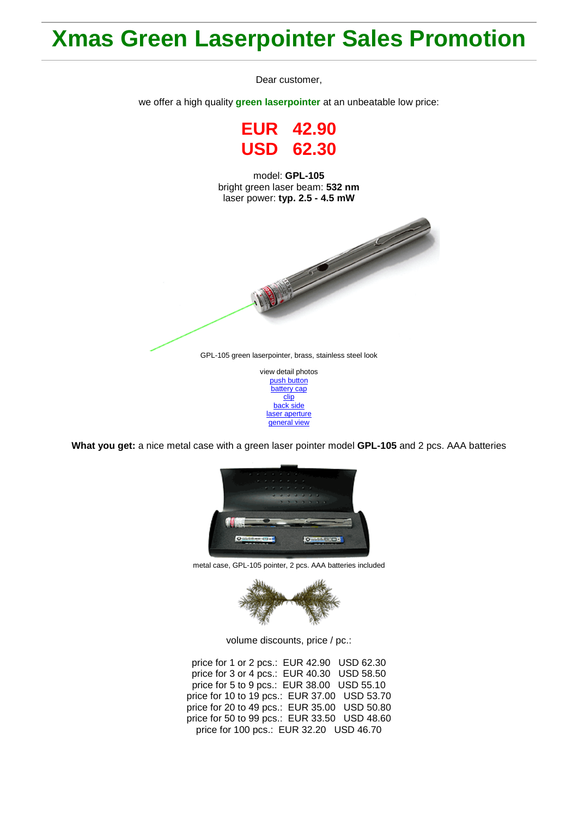## **Xmas Green Laserpointer Sales Promotion**

Dear customer,

we offer a high quality **green laserpointer** at an unbeatable low price:

**EUR 42.90 USD 62.30**

model: **GPL-105** bright green laser beam: **532 nm** laser power: **typ. 2.5 - 4.5 mW**



[push button](http://roithner-laser.com/Hirespix/GPL105/push_button.jpg) [battery cap](http://roithner-laser.com/Hirespix/GPL105/battery_cap.jpg) [clip](http://roithner-laser.com/Hirespix/GPL105/clip.jpg) [back side](http://roithner-laser.com/Hirespix/GPL105/end_cap.jpg) [laser aperture](http://roithner-laser.com/Hirespix/GPL105/emitting_aperture.jpg) [general view](http://roithner-laser.com/Hirespix/GPL105/pointer_105.jpg)

**What you get:** a nice metal case with a green laser pointer model **GPL-105** and 2 pcs. AAA batteries



metal case, GPL-105 pointer, 2 pcs. AAA batteries included



volume discounts, price / pc.:

price for 1 or 2 pcs.: EUR 42.90 USD 62.30 price for 3 or 4 pcs.: EUR 40.30 USD 58.50 price for 5 to 9 pcs.: EUR 38.00 USD 55.10 price for 10 to 19 pcs.: EUR 37.00 USD 53.70 price for 20 to 49 pcs.: EUR 35.00 USD 50.80 price for 50 to 99 pcs.: EUR 33.50 USD 48.60 price for 100 pcs.: EUR 32.20 USD 46.70